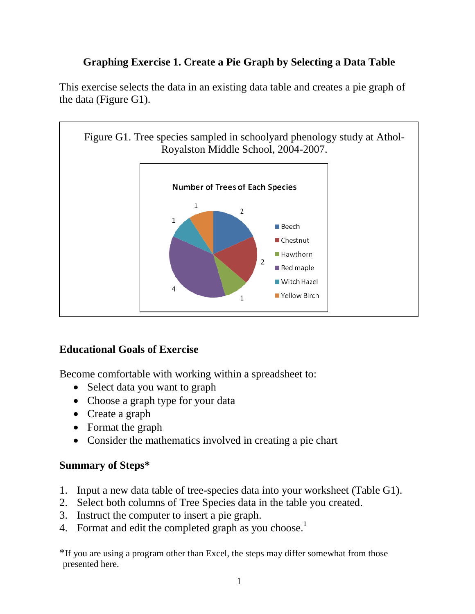# **Graphing Exercise 1. Create a Pie Graph by Selecting a Data Table**

This exercise selects the data in an existing data table and creates a pie graph of the data (Figure G1).



## **Educational Goals of Exercise**

Become comfortable with working within a spreadsheet to:

- Select data you want to graph
- Choose a graph type for your data
- Create a graph
- Format the graph
- Consider the mathematics involved in creating a pie chart

#### **Summary of Steps\***

- 1. Input a new data table of tree-species data into your worksheet (Table G1).
- 2. Select both columns of Tree Species data in the table you created.
- 3. Instruct the computer to insert a pie graph.
- 4. Format and edit the completed graph as you choose.<sup>1</sup>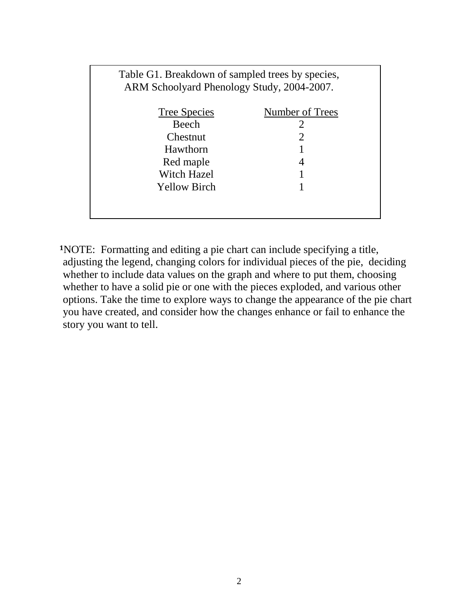|                     | Table G1. Breakdown of sampled trees by species,<br>ARM Schoolyard Phenology Study, 2004-2007. |  |  |
|---------------------|------------------------------------------------------------------------------------------------|--|--|
| <b>Tree Species</b> | Number of Trees                                                                                |  |  |
| Beech               | $\mathcal{D}_{\mathcal{L}}$                                                                    |  |  |
| Chestnut            | $\overline{2}$                                                                                 |  |  |
| Hawthorn            |                                                                                                |  |  |
| Red maple           | 4                                                                                              |  |  |
| <b>Witch Hazel</b>  |                                                                                                |  |  |
| <b>Yellow Birch</b> |                                                                                                |  |  |
|                     |                                                                                                |  |  |
|                     |                                                                                                |  |  |

**<sup>1</sup>**NOTE: Formatting and editing a pie chart can include specifying a title, adjusting the legend, changing colors for individual pieces of the pie, deciding whether to include data values on the graph and where to put them, choosing whether to have a solid pie or one with the pieces exploded, and various other options. Take the time to explore ways to change the appearance of the pie chart you have created, and consider how the changes enhance or fail to enhance the story you want to tell.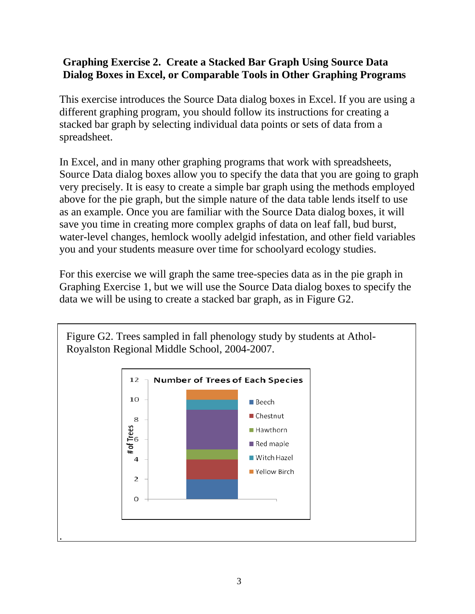#### **Graphing Exercise 2. Create a Stacked Bar Graph Using Source Data Dialog Boxes in Excel, or Comparable Tools in Other Graphing Programs**

This exercise introduces the Source Data dialog boxes in Excel. If you are using a different graphing program, you should follow its instructions for creating a stacked bar graph by selecting individual data points or sets of data from a spreadsheet.

In Excel, and in many other graphing programs that work with spreadsheets, Source Data dialog boxes allow you to specify the data that you are going to graph very precisely. It is easy to create a simple bar graph using the methods employed above for the pie graph, but the simple nature of the data table lends itself to use as an example. Once you are familiar with the Source Data dialog boxes, it will save you time in creating more complex graphs of data on leaf fall, bud burst, water-level changes, hemlock woolly adelgid infestation, and other field variables you and your students measure over time for schoolyard ecology studies.

For this exercise we will graph the same tree-species data as in the pie graph in Graphing Exercise 1, but we will use the Source Data dialog boxes to specify the data we will be using to create a stacked bar graph, as in Figure G2.

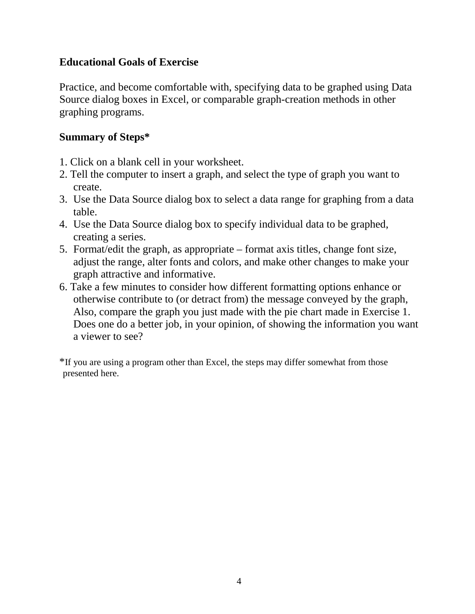#### **Educational Goals of Exercise**

Practice, and become comfortable with, specifying data to be graphed using Data Source dialog boxes in Excel, or comparable graph-creation methods in other graphing programs.

#### **Summary of Steps\***

- 1. Click on a blank cell in your worksheet.
- 2. Tell the computer to insert a graph, and select the type of graph you want to create.
- 3. Use the Data Source dialog box to select a data range for graphing from a data table.
- 4. Use the Data Source dialog box to specify individual data to be graphed, creating a series.
- 5. Format/edit the graph, as appropriate format axis titles, change font size, adjust the range, alter fonts and colors, and make other changes to make your graph attractive and informative.
- 6. Take a few minutes to consider how different formatting options enhance or otherwise contribute to (or detract from) the message conveyed by the graph, Also, compare the graph you just made with the pie chart made in Exercise 1. Does one do a better job, in your opinion, of showing the information you want a viewer to see?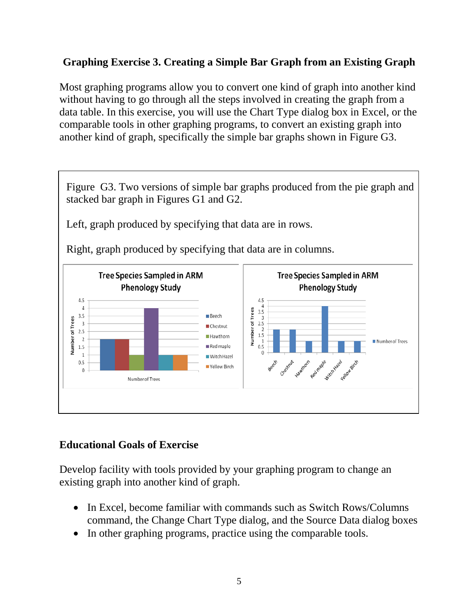## **Graphing Exercise 3. Creating a Simple Bar Graph from an Existing Graph**

Most graphing programs allow you to convert one kind of graph into another kind without having to go through all the steps involved in creating the graph from a data table. In this exercise, you will use the Chart Type dialog box in Excel, or the comparable tools in other graphing programs, to convert an existing graph into another kind of graph, specifically the simple bar graphs shown in Figure G3.

Figure G3. Two versions of simple bar graphs produced from the pie graph and stacked bar graph in Figures G1 and G2. Left, graph produced by specifying that data are in rows. Right, graph produced by specifying that data are in columns. **Tree Species Sampled in ARM Tree Species Sampled in ARM Phenology Study Phenology Study**  $4.5$ 4.5  $rac{4}{3.5}$  $\overline{a}$ Number of Trees  $3.5$ **Beech**  $\frac{3}{3}$ <br>2.5 Number of Trees  $\overline{\mathbf{3}}$ Chestnut  $\overline{c}$ 2.5 1.5 Hawthorn  $\overline{2}$  $\frac{1}{0.5}$ Number of Trees Red maple 1.5  $\overline{1}$ Witch Hazel Beech creating traition ged made with the  $0.5$ Yellow Birch  $\sqrt{2}$ Number of Trees

## **Educational Goals of Exercise**

Develop facility with tools provided by your graphing program to change an existing graph into another kind of graph.

- In Excel, become familiar with commands such as Switch Rows/Columns command, the Change Chart Type dialog, and the Source Data dialog boxes
- In other graphing programs, practice using the comparable tools.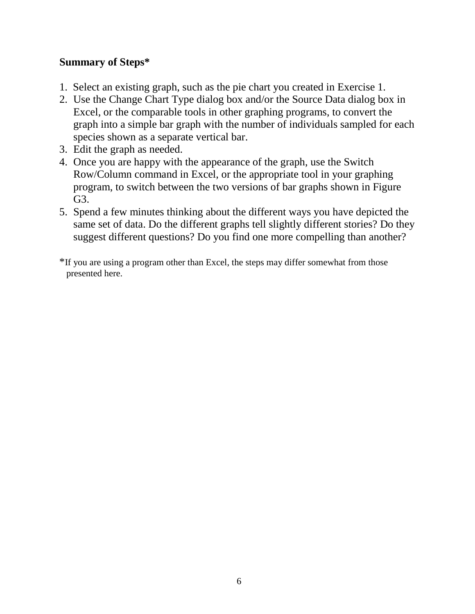#### **Summary of Steps\***

- 1. Select an existing graph, such as the pie chart you created in Exercise 1.
- 2. Use the Change Chart Type dialog box and/or the Source Data dialog box in Excel, or the comparable tools in other graphing programs, to convert the graph into a simple bar graph with the number of individuals sampled for each species shown as a separate vertical bar.
- 3. Edit the graph as needed.
- 4. Once you are happy with the appearance of the graph, use the Switch Row/Column command in Excel, or the appropriate tool in your graphing program, to switch between the two versions of bar graphs shown in Figure G3.
- 5. Spend a few minutes thinking about the different ways you have depicted the same set of data. Do the different graphs tell slightly different stories? Do they suggest different questions? Do you find one more compelling than another?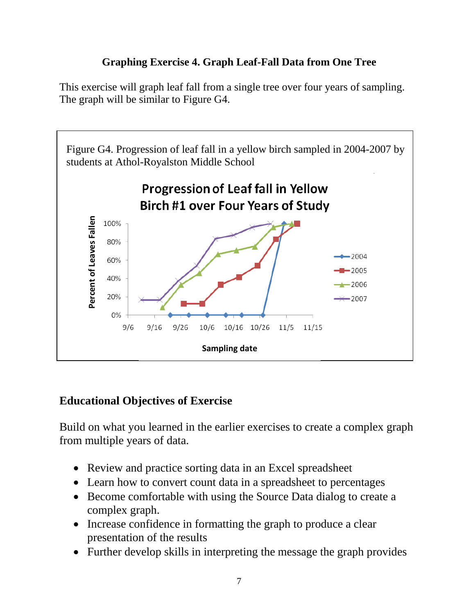## **Graphing Exercise 4. Graph Leaf-Fall Data from One Tree**

This exercise will graph leaf fall from a single tree over four years of sampling. The graph will be similar to Figure G4.



## **Educational Objectives of Exercise**

Build on what you learned in the earlier exercises to create a complex graph from multiple years of data.

- Review and practice sorting data in an Excel spreadsheet
- Learn how to convert count data in a spreadsheet to percentages
- Become comfortable with using the Source Data dialog to create a complex graph.
- Increase confidence in formatting the graph to produce a clear presentation of the results
- Further develop skills in interpreting the message the graph provides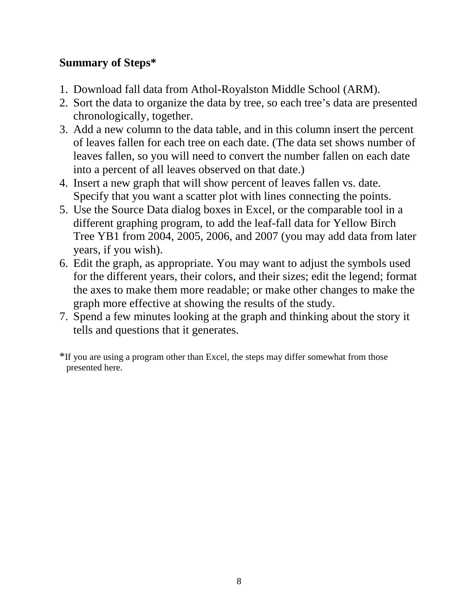# **Summary of Steps\***

- 1. Download fall data from Athol-Royalston Middle School (ARM).
- 2. Sort the data to organize the data by tree, so each tree's data are presented chronologically, together.
- 3. Add a new column to the data table, and in this column insert the percent of leaves fallen for each tree on each date. (The data set shows number of leaves fallen, so you will need to convert the number fallen on each date into a percent of all leaves observed on that date.)
- 4. Insert a new graph that will show percent of leaves fallen vs. date. Specify that you want a scatter plot with lines connecting the points.
- 5. Use the Source Data dialog boxes in Excel, or the comparable tool in a different graphing program, to add the leaf-fall data for Yellow Birch Tree YB1 from 2004, 2005, 2006, and 2007 (you may add data from later years, if you wish).
- 6. Edit the graph, as appropriate. You may want to adjust the symbols used for the different years, their colors, and their sizes; edit the legend; format the axes to make them more readable; or make other changes to make the graph more effective at showing the results of the study.
- 7. Spend a few minutes looking at the graph and thinking about the story it tells and questions that it generates.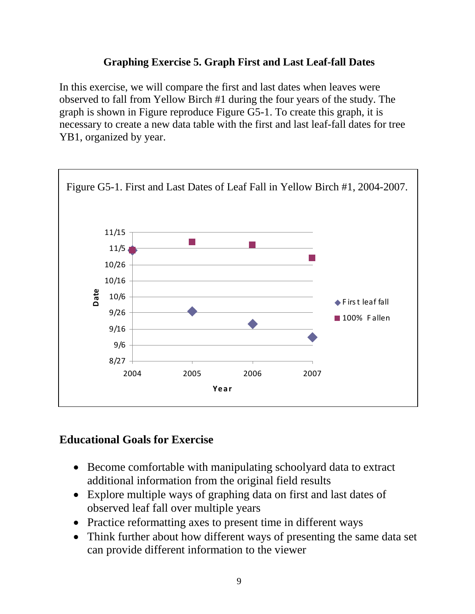#### **Graphing Exercise 5. Graph First and Last Leaf-fall Dates**

In this exercise, we will compare the first and last dates when leaves were observed to fall from Yellow Birch #1 during the four years of the study. The graph is shown in Figure reproduce Figure G5-1. To create this graph, it is necessary to create a new data table with the first and last leaf-fall dates for tree YB1, organized by year.



## **Educational Goals for Exercise**

- Become comfortable with manipulating schoolyard data to extract additional information from the original field results
- Explore multiple ways of graphing data on first and last dates of observed leaf fall over multiple years
- Practice reformatting axes to present time in different ways
- Think further about how different ways of presenting the same data set can provide different information to the viewer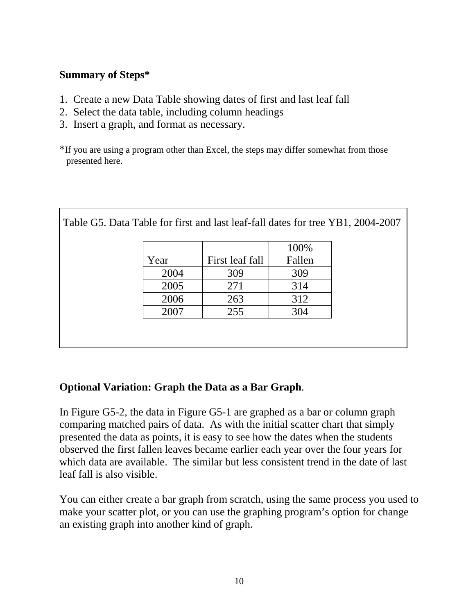#### **Summary of Steps\***

- 1. Create a new Data Table showing dates of first and last leaf fall
- 2. Select the data table, including column headings
- 3. Insert a graph, and format as necessary.

\*If you are using a program other than Excel, the steps may differ somewhat from those presented here.

|      |                 | 100%   |
|------|-----------------|--------|
| Year | First leaf fall | Fallen |
| 2004 | 309             | 309    |
| 2005 | 271             | 314    |
| 2006 | 263             | 312    |
| 2007 | 255             | 304    |

 $\vert$  Table G5. Data Table for first and last leaf-fall dates for tree VB1, 2004-2007

## **Optional Variation: Graph the Data as a Bar Graph**.

In Figure G5-2, the data in Figure G5-1 are graphed as a bar or column graph comparing matched pairs of data. As with the initial scatter chart that simply presented the data as points, it is easy to see how the dates when the students observed the first fallen leaves became earlier each year over the four years for which data are available. The similar but less consistent trend in the date of last leaf fall is also visible.

You can either create a bar graph from scratch, using the same process you used to make your scatter plot, or you can use the graphing program's option for change an existing graph into another kind of graph.